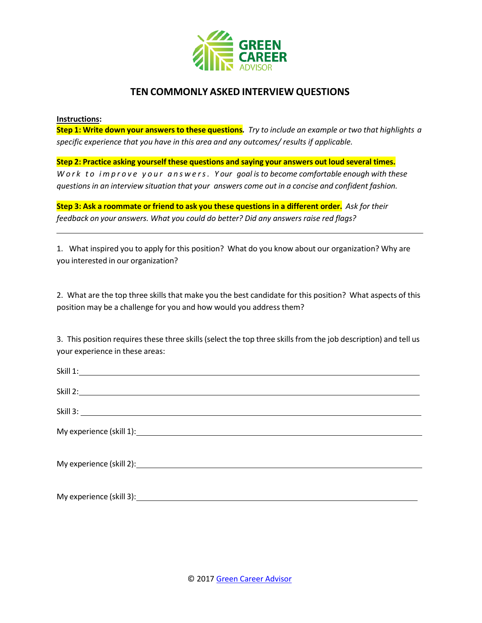

## **TEN COMMONLY ASKED INTERVIEW QUESTIONS**

## **Instructions:**

Step 1: Write down your answers to these questions. Try to include an example or two that highlights a *specific experience that you have in this area and any outcomes/ results if applicable.*

**Step 2: Practice asking yourself these questions and saying your answers out loud several times.** *Work to improve your answers. Y our goal is to become comfortable enough with these questions in an interview situation that your answers come out in a concise and confident fashion.*

Step 3: Ask a roommate or friend to ask you these questions in a different order. Ask for their *feedback on your answers. What you could do better? Did any answers raise red flags?*

1. What inspired you to apply for this position? What do you know about our organization? Why are you interested in our organization?

2. What are the top three skills that make you the best candidate for this position? What aspects of this position may be a challenge for you and how would you address them?

3. This position requires these three skills (select the top three skills from the job description) and tell us your experience in these areas: